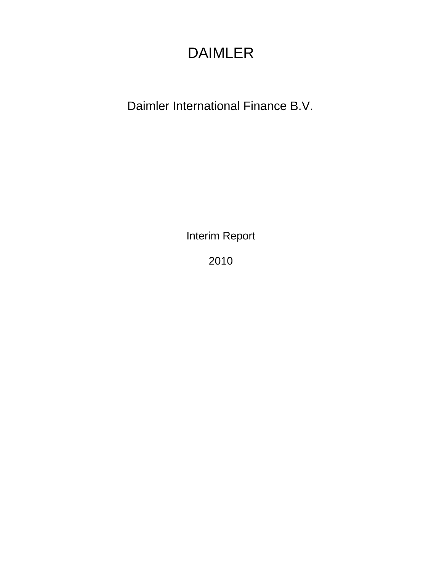# DAIMLER

Daimler International Finance B.V.

Interim Report

2010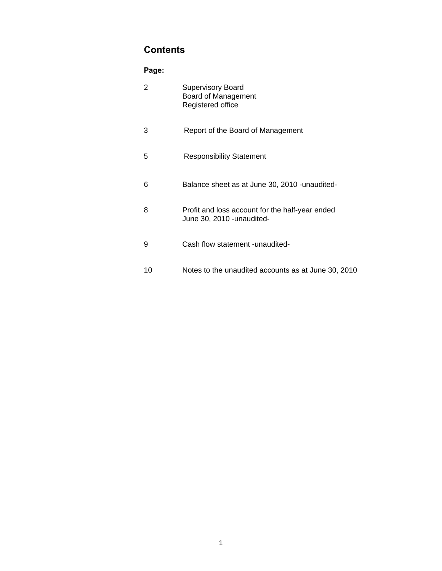# **Contents**

### **Page:**

| 2  | <b>Supervisory Board</b><br>Board of Management<br>Registered office          |
|----|-------------------------------------------------------------------------------|
| 3  | Report of the Board of Management                                             |
| 5  | <b>Responsibility Statement</b>                                               |
| 6  | Balance sheet as at June 30, 2010 - unaudited-                                |
| 8  | Profit and loss account for the half-year ended<br>June 30, 2010 - unaudited- |
| 9  | Cash flow statement -unaudited-                                               |
| 10 | Notes to the unaudited accounts as at June 30, 2010                           |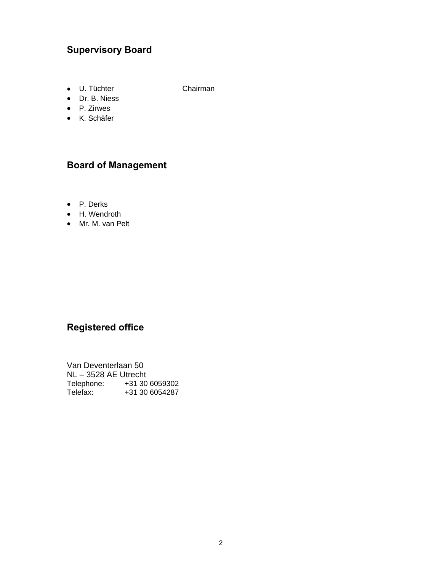# **Supervisory Board**

• U. Tüchter Chairman

• Dr. B. Niess

- P. Zirwes
- K. Schäfer

### **Board of Management**

- P. Derks
- H. Wendroth
- Mr. M. van Pelt

# **Registered office**

Van Deventerlaan 50 NL – 3528 AE Utrecht Telephone: +31 30 6059302 Telefax: +31 30 6054287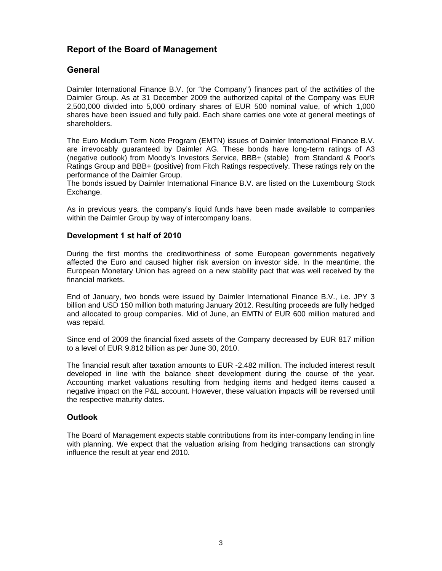### **Report of the Board of Management**

#### **General**

Daimler International Finance B.V. (or "the Company") finances part of the activities of the Daimler Group. As at 31 December 2009 the authorized capital of the Company was EUR 2,500,000 divided into 5,000 ordinary shares of EUR 500 nominal value, of which 1,000 shares have been issued and fully paid. Each share carries one vote at general meetings of shareholders.

The Euro Medium Term Note Program (EMTN) issues of Daimler International Finance B.V. are irrevocably guaranteed by Daimler AG. These bonds have long-term ratings of A3 (negative outlook) from Moody's Investors Service, BBB+ (stable) from Standard & Poor's Ratings Group and BBB+ (positive) from Fitch Ratings respectively. These ratings rely on the performance of the Daimler Group.

The bonds issued by Daimler International Finance B.V. are listed on the Luxembourg Stock Exchange.

As in previous years, the company's liquid funds have been made available to companies within the Daimler Group by way of intercompany loans.

#### **Development 1 st half of 2010**

During the first months the creditworthiness of some European governments negatively affected the Euro and caused higher risk aversion on investor side. In the meantime, the European Monetary Union has agreed on a new stability pact that was well received by the financial markets.

End of January, two bonds were issued by Daimler International Finance B.V., i.e. JPY 3 billion and USD 150 million both maturing January 2012. Resulting proceeds are fully hedged and allocated to group companies. Mid of June, an EMTN of EUR 600 million matured and was repaid.

Since end of 2009 the financial fixed assets of the Company decreased by EUR 817 million to a level of EUR 9.812 billion as per June 30, 2010.

The financial result after taxation amounts to EUR -2.482 million. The included interest result developed in line with the balance sheet development during the course of the year. Accounting market valuations resulting from hedging items and hedged items caused a negative impact on the P&L account. However, these valuation impacts will be reversed until the respective maturity dates.

#### **Outlook**

The Board of Management expects stable contributions from its inter-company lending in line with planning. We expect that the valuation arising from hedging transactions can strongly influence the result at year end 2010.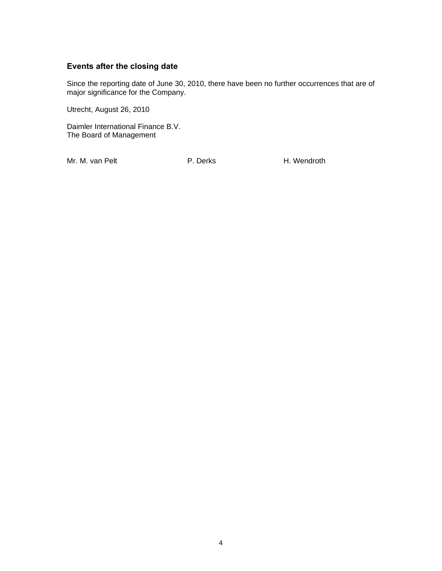#### **Events after the closing date**

Since the reporting date of June 30, 2010, there have been no further occurrences that are of major significance for the Company.

Utrecht, August 26, 2010

Daimler International Finance B.V. The Board of Management

Mr. M. van Pelt **P. Derks** H. Wendroth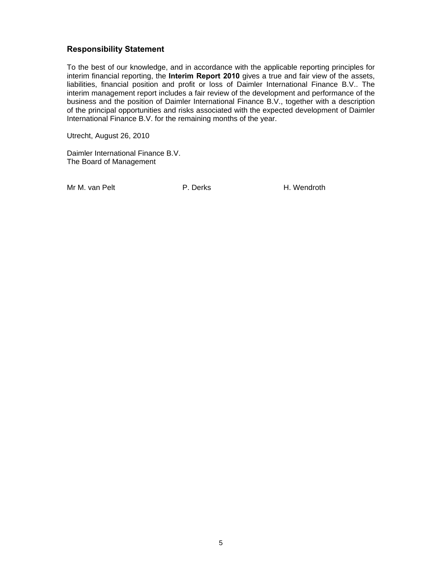#### **Responsibility Statement**

To the best of our knowledge, and in accordance with the applicable reporting principles for interim financial reporting, the **Interim Report 2010** gives a true and fair view of the assets, liabilities, financial position and profit or loss of Daimler International Finance B.V.. The interim management report includes a fair review of the development and performance of the business and the position of Daimler International Finance B.V., together with a description of the principal opportunities and risks associated with the expected development of Daimler International Finance B.V. for the remaining months of the year.

Utrecht, August 26, 2010

Daimler International Finance B.V. The Board of Management

Mr M. van Pelt **P. Derks** H. Wendroth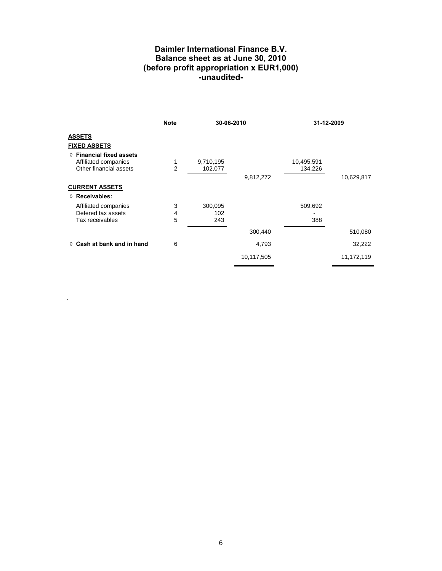#### **Daimler International Finance B.V. Balance sheet as at June 30, 2010 (before profit appropriation x EUR1,000) -unaudited-**

|                                     | <b>Note</b>    | 30-06-2010 |            | 31-12-2009 |            |
|-------------------------------------|----------------|------------|------------|------------|------------|
| <b>ASSETS</b>                       |                |            |            |            |            |
| <b>FIXED ASSETS</b>                 |                |            |            |            |            |
| $\Diamond$ Financial fixed assets   |                |            |            |            |            |
| Affiliated companies                | 1              | 9,710,195  |            | 10,495,591 |            |
| Other financial assets              | $\overline{2}$ | 102,077    |            | 134,226    |            |
|                                     |                |            | 9,812,272  |            | 10,629,817 |
| <b>CURRENT ASSETS</b>               |                |            |            |            |            |
| ◊ Receivables:                      |                |            |            |            |            |
| Affiliated companies                | 3              | 300,095    |            | 509,692    |            |
| Defered tax assets                  | 4              | 102        |            |            |            |
| Tax receivables                     | 5              | 243        |            | 388        |            |
|                                     |                |            | 300,440    |            | 510,080    |
| $\Diamond$ Cash at bank and in hand | 6              |            | 4,793      |            | 32,222     |
|                                     |                |            | 10,117,505 |            | 11,172,119 |

.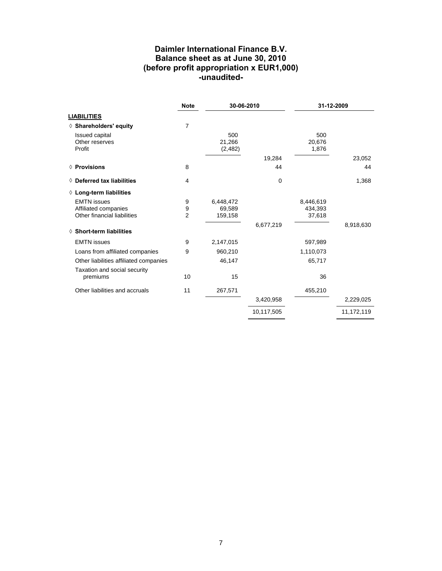#### **Daimler International Finance B.V. Balance sheet as at June 30, 2010 (before profit appropriation x EUR1,000) -unaudited-**

|                                                                           | <b>Note</b>              | 30-06-2010                     |             | 31-12-2009                     |            |
|---------------------------------------------------------------------------|--------------------------|--------------------------------|-------------|--------------------------------|------------|
| <b>LIABILITIES</b>                                                        |                          |                                |             |                                |            |
| ◊ Shareholders' equity                                                    | 7                        |                                |             |                                |            |
| <b>Issued capital</b><br>Other reserves<br>Profit                         |                          | 500<br>21,266<br>(2, 482)      |             | 500<br>20,676<br>1,876         |            |
|                                                                           |                          |                                | 19,284      |                                | 23,052     |
| ◊ Provisions                                                              | 8                        |                                | 44          |                                | 44         |
| $\Diamond$ Deferred tax liabilities                                       | 4                        |                                | $\mathbf 0$ |                                | 1,368      |
| ◊ Long-term liabilities                                                   |                          |                                |             |                                |            |
| <b>EMTN</b> issues<br>Affiliated companies<br>Other financial liabilities | 9<br>9<br>$\overline{2}$ | 6,448,472<br>69,589<br>159,158 |             | 8,446,619<br>434,393<br>37,618 |            |
| ♦ Short-term liabilities                                                  |                          |                                | 6,677,219   |                                | 8,918,630  |
|                                                                           |                          |                                |             |                                |            |
| <b>EMTN</b> issues                                                        | 9                        | 2,147,015                      |             | 597,989                        |            |
| Loans from affiliated companies                                           | 9                        | 960,210                        |             | 1,110,073                      |            |
| Other liabilities affiliated companies                                    |                          | 46,147                         |             | 65,717                         |            |
| Taxation and social security<br>premiums                                  | 10                       | 15                             |             | 36                             |            |
| Other liabilities and accruals                                            | 11                       | 267,571                        |             | 455,210                        |            |
|                                                                           |                          |                                | 3,420,958   |                                | 2,229,025  |
|                                                                           |                          |                                | 10,117,505  |                                | 11,172,119 |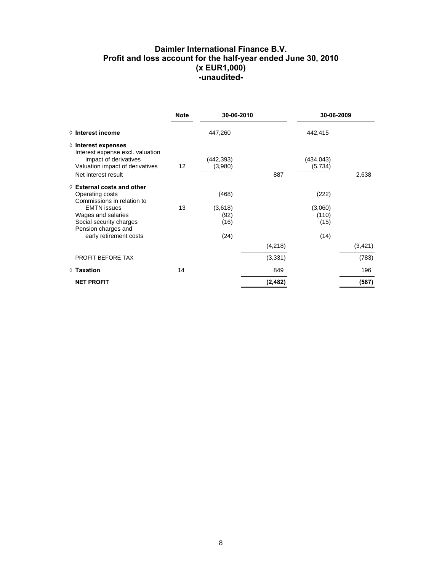#### **Daimler International Finance B.V. Profit and loss account for the half-year ended June 30, 2010 (x EUR1,000) -unaudited-**

|                                                                                                                                                                                                              | <b>Note</b> | 30-06-2010                               |          |                                           | 30-06-2009 |  |
|--------------------------------------------------------------------------------------------------------------------------------------------------------------------------------------------------------------|-------------|------------------------------------------|----------|-------------------------------------------|------------|--|
| $\Diamond$ Interest income                                                                                                                                                                                   |             | 447,260                                  |          | 442,415                                   |            |  |
| $\Diamond$ Interest expenses<br>Interest expense excl. valuation<br>impact of derivatives<br>Valuation impact of derivatives<br>Net interest result                                                          | 12          | (442,393)<br>(3,980)                     | 887      | (434, 043)<br>(5,734)                     | 2,638      |  |
| $\Diamond$ External costs and other<br>Operating costs<br>Commissions in relation to<br><b>EMTN</b> issues<br>Wages and salaries<br>Social security charges<br>Pension charges and<br>early retirement costs | 13          | (468)<br>(3,618)<br>(92)<br>(16)<br>(24) |          | (222)<br>(3,060)<br>(110)<br>(15)<br>(14) |            |  |
|                                                                                                                                                                                                              |             |                                          | (4,218)  |                                           | (3, 421)   |  |
| PROFIT BEFORE TAX                                                                                                                                                                                            |             |                                          | (3, 331) |                                           | (783)      |  |
| $\Diamond$ Taxation                                                                                                                                                                                          | 14          |                                          | 849      |                                           | 196        |  |
| <b>NET PROFIT</b>                                                                                                                                                                                            |             |                                          | (2, 482) |                                           | (587)      |  |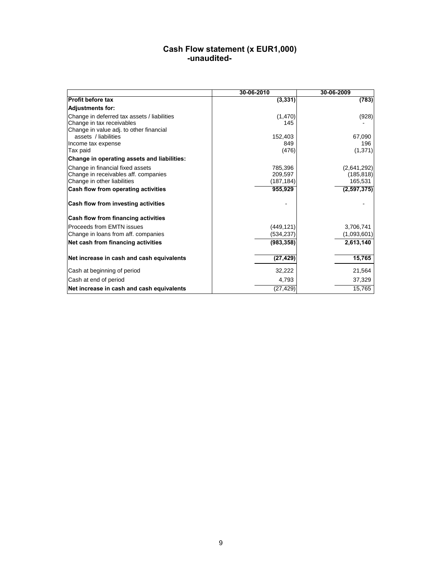#### **Cash Flow statement (x EUR1,000)**  *<u> -unaudited-</u>* -unaudited-

|                                             | 30-06-2010 | 30-06-2009    |
|---------------------------------------------|------------|---------------|
| <b>Profit before tax</b>                    | (3, 331)   | (783)         |
| <b>Adjustments for:</b>                     |            |               |
| Change in deferred tax assets / liabilities | (1,470)    | (928)         |
| Change in tax receivables                   | 145        |               |
| Change in value adj. to other financial     |            |               |
| assets / liabilities                        | 152,403    | 67.090        |
| Income tax expense                          | 849        | 196           |
| Tax paid                                    | (476)      | (1, 371)      |
| Change in operating assets and liabilities: |            |               |
| Change in financial fixed assets            | 785,396    | (2,641,292)   |
| Change in receivables aff. companies        | 209,597    | (185, 818)    |
| Change in other liabilities                 | (187, 184) | 165,531       |
| Cash flow from operating activities         | 955,929    | (2, 597, 375) |
| Cash flow from investing activities         |            |               |
| Cash flow from financing activities         |            |               |
| Proceeds from EMTN issues                   | (449, 121) | 3,706,741     |
| Change in loans from aff. companies         | (534, 237) | (1,093,601)   |
| Net cash from financing activities          | (983, 358) | 2,613,140     |
|                                             |            |               |
| Net increase in cash and cash equivalents   | (27, 429)  | 15,765        |
| Cash at beginning of period                 | 32,222     | 21,564        |
| Cash at end of period                       | 4,793      | 37,329        |
| Net increase in cash and cash equivalents   | (27, 429)  | 15,765        |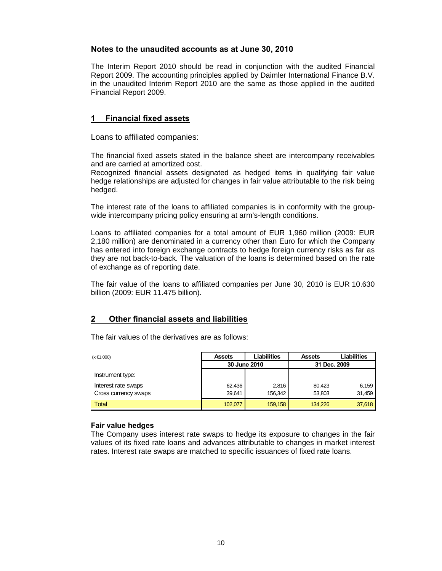#### **Notes to the unaudited accounts as at June 30, 2010**

The Interim Report 2010 should be read in conjunction with the audited Financial Report 2009. The accounting principles applied by Daimler International Finance B.V. in the unaudited Interim Report 2010 are the same as those applied in the audited Financial Report 2009.

#### **1 Financial fixed assets**

#### Loans to affiliated companies:

The financial fixed assets stated in the balance sheet are intercompany receivables and are carried at amortized cost.

Recognized financial assets designated as hedged items in qualifying fair value hedge relationships are adjusted for changes in fair value attributable to the risk being hedged.

The interest rate of the loans to affiliated companies is in conformity with the groupwide intercompany pricing policy ensuring at arm's-length conditions.

Loans to affiliated companies for a total amount of EUR 1,960 million (2009: EUR 2,180 million) are denominated in a currency other than Euro for which the Company has entered into foreign exchange contracts to hedge foreign currency risks as far as they are not back-to-back. The valuation of the loans is determined based on the rate of exchange as of reporting date.

The fair value of the loans to affiliated companies per June 30, 2010 is EUR 10.630 billion (2009: EUR 11.475 billion).

#### **2 Other financial assets and liabilities**

The fair values of the derivatives are as follows:

| $(x \in 1,000)$      | <b>Assets</b> | <b>Liabilities</b> | <b>Assets</b> | Liabilities |  |
|----------------------|---------------|--------------------|---------------|-------------|--|
|                      |               | 30 June 2010       | 31 Dec. 2009  |             |  |
| Instrument type:     |               |                    |               |             |  |
| Interest rate swaps  | 62,436        | 2.816              | 80.423        | 6,159       |  |
| Cross currency swaps | 39,641        | 156.342            | 53,803        | 31,459      |  |
| <b>Total</b>         | 102,077       | 159,158            | 134.226       | 37,618      |  |

#### **Fair value hedges**

The Company uses interest rate swaps to hedge its exposure to changes in the fair values of its fixed rate loans and advances attributable to changes in market interest rates. Interest rate swaps are matched to specific issuances of fixed rate loans.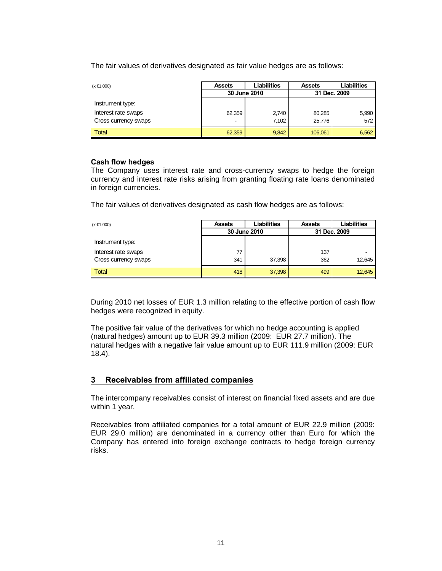The fair values of derivatives designated as fair value hedges are as follows:

| $(000, B \times)$    | <b>Assets</b>            | Liabilities  | <b>Assets</b> | Liabilities |
|----------------------|--------------------------|--------------|---------------|-------------|
|                      |                          | 30 June 2010 | 31 Dec. 2009  |             |
| Instrument type:     |                          |              |               |             |
| Interest rate swaps  | 62,359                   | 2,740        | 80,285        | 5,990       |
| Cross currency swaps | $\overline{\phantom{a}}$ | 7.102        | 25,776        | 572         |
| <b>Total</b>         | 62,359                   | 9,842        | 106,061       | 6,562       |

#### **Cash flow hedges**

The Company uses interest rate and cross-currency swaps to hedge the foreign currency and interest rate risks arising from granting floating rate loans denominated in foreign currencies.

The fair values of derivatives designated as cash flow hedges are as follows:

| $(x \in 1,000)$      | <b>Assets</b> | <b>Liabilities</b> |     | Liabilities  |  |  |
|----------------------|---------------|--------------------|-----|--------------|--|--|
|                      |               | 30 June 2010       |     | 31 Dec. 2009 |  |  |
| Instrument type:     |               |                    |     |              |  |  |
| Interest rate swaps  | 77            |                    | 137 |              |  |  |
| Cross currency swaps | 341           | 37.398             | 362 | 12,645       |  |  |
| <b>Total</b>         | 418           | 37,398             | 499 | 12,645       |  |  |

During 2010 net losses of EUR 1.3 million relating to the effective portion of cash flow hedges were recognized in equity.

The positive fair value of the derivatives for which no hedge accounting is applied (natural hedges) amount up to EUR 39.3 million (2009: EUR 27.7 million). The natural hedges with a negative fair value amount up to EUR 111.9 million (2009: EUR 18.4).

#### **3 Receivables from affiliated companies**

The intercompany receivables consist of interest on financial fixed assets and are due within 1 year.

Receivables from affiliated companies for a total amount of EUR 22.9 million (2009: EUR 29.0 million) are denominated in a currency other than Euro for which the Company has entered into foreign exchange contracts to hedge foreign currency risks.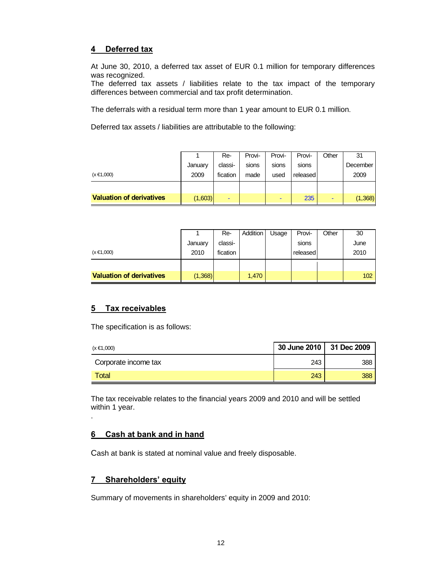#### **4 Deferred tax**

At June 30, 2010, a deferred tax asset of EUR 0.1 million for temporary differences was recognized.

The deferred tax assets / liabilities relate to the tax impact of the temporary differences between commercial and tax profit determination.

The deferrals with a residual term more than 1 year amount to EUR 0.1 million.

Deferred tax assets / liabilities are attributable to the following:

|                                 |         | Re-      | Provi- | Provi-                   | Provi-   | Other | 31       |
|---------------------------------|---------|----------|--------|--------------------------|----------|-------|----------|
|                                 | January | classi-  | sions  | sions                    | sions    |       | December |
| $(x \in 1,000)$                 | 2009    | fication | made   | used                     | released |       | 2009     |
|                                 |         |          |        |                          |          |       |          |
| <b>Valuation of derivatives</b> | (1,603) |          |        | $\overline{\phantom{0}}$ | 235      | -     | (1,368)  |

|                                 |         | Re-      | Addition | Usage | Provi-   | Other | 30   |
|---------------------------------|---------|----------|----------|-------|----------|-------|------|
|                                 | January | classi-  |          |       | sions    |       | June |
| $(x \in 1,000)$                 | 2010    | fication |          |       | released |       | 2010 |
|                                 |         |          |          |       |          |       |      |
| <b>Valuation of derivatives</b> | (1,368) |          | 1,470    |       |          |       | 102  |

#### **5 Tax receivables**

.

The specification is as follows:

| $(x \in 1,000)$      | 30 June 2010   31 Dec 2009 |     |
|----------------------|----------------------------|-----|
| Corporate income tax | 243                        | 388 |
| Total                | 243                        | 388 |

The tax receivable relates to the financial years 2009 and 2010 and will be settled within 1 year.

#### **6 Cash at bank and in hand**

Cash at bank is stated at nominal value and freely disposable.

#### **7 Shareholders' equity**

Summary of movements in shareholders' equity in 2009 and 2010: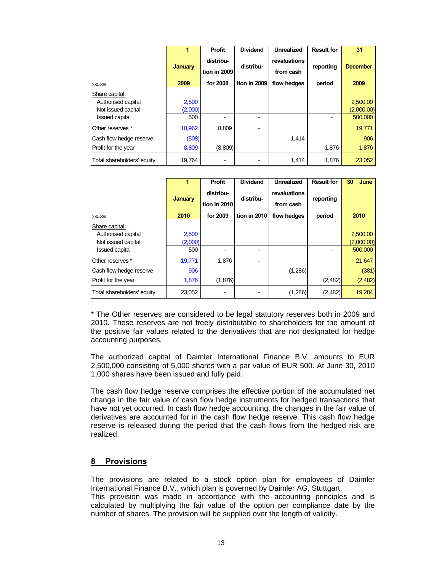|                            | 4              | <b>Profit</b>             | <b>Dividend</b> | <b>Unrealized</b>         | <b>Result for</b> | 31              |
|----------------------------|----------------|---------------------------|-----------------|---------------------------|-------------------|-----------------|
|                            | <b>January</b> | distribu-<br>tion in 2009 | distribu-       | revaluations<br>from cash | reporting         | <b>December</b> |
| $(x \in 1,000)$            | 2009           | for 2008                  | tion in 2009    | flow hedges               | period            | 2009            |
| Share capital:             |                |                           |                 |                           |                   |                 |
| Authorised capital         | 2,500          |                           |                 |                           |                   | 2,500.00        |
| Not issued capital         | (2,000)        |                           |                 |                           |                   | (2,000.00)      |
| <b>Issued capital</b>      | 500            |                           |                 |                           |                   | 500.000         |
| Other reserves *           | 10,962         | 8,809                     |                 |                           |                   | 19,771          |
| Cash flow hedge reserve    | (508)          |                           |                 | 1,414                     |                   | 906             |
| Profit for the year        | 8,809          | (8,809)                   |                 |                           | 1,876             | 1,876           |
| Total shareholders' equity | 19,764         |                           |                 | 1,414                     | 1,876             | 23,052          |

|                            |                | <b>Profit</b> | <b>Dividend</b> | <b>Unrealized</b> | <b>Result for</b> | 30<br>June |
|----------------------------|----------------|---------------|-----------------|-------------------|-------------------|------------|
|                            | <b>January</b> | distribu-     | distribu-       | revaluations      | reporting         |            |
|                            |                | tion in 2010  |                 | from cash         |                   |            |
| $(x \in 1,000)$            | 2010           | for 2009      | tion in 2010    | flow hedges       | period            | 2010       |
| Share capital:             |                |               |                 |                   |                   |            |
| Authorised capital         | 2,500          |               |                 |                   |                   | 2,500.00   |
| Not issued capital         | (2,000)        |               |                 |                   |                   | (2,000.00) |
| <b>Issued capital</b>      | 500            |               |                 |                   |                   | 500,000    |
| Other reserves *           | 19,771         | 1,876         |                 |                   |                   | 21,647     |
| Cash flow hedge reserve    | 906            |               |                 | (1,286)           |                   | (381)      |
| Profit for the year        | 1,876          | (1,876)       |                 |                   | (2,482)           | (2,482)    |
| Total shareholders' equity | 23,052         |               |                 | (1,286)           | (2,482)           | 19,284     |

\* The Other reserves are considered to be legal statutory reserves both in 2009 and 2010. These reserves are not freely distributable to shareholders for the amount of the positive fair values related to the derivatives that are not designated for hedge accounting purposes.

The authorized capital of Daimler International Finance B.V. amounts to EUR 2,500,000 consisting of 5,000 shares with a par value of EUR 500. At June 30, 2010 1,000 shares have been issued and fully paid.

The cash flow hedge reserve comprises the effective portion of the accumulated net change in the fair value of cash flow hedge instruments for hedged transactions that have not yet occurred. In cash flow hedge accounting, the changes in the fair value of derivatives are accounted for in the cash flow hedge reserve. This cash flow hedge reserve is released during the period that the cash flows from the hedged risk are realized.

#### **8 Provisions**

The provisions are related to a stock option plan for employees of Daimler International Finance B.V., which plan is governed by Daimler AG, Stuttgart. This provision was made in accordance with the accounting principles and is calculated by multiplying the fair value of the option per compliance date by the number of shares. The provision will be supplied over the length of validity.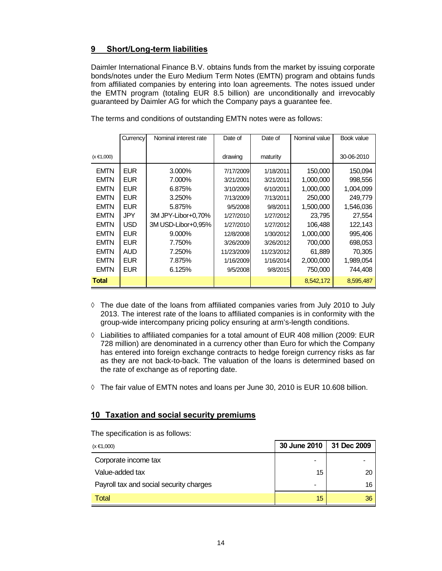#### **9 Short/Long-term liabilities**

Daimler International Finance B.V. obtains funds from the market by issuing corporate bonds/notes under the Euro Medium Term Notes (EMTN) program and obtains funds from affiliated companies by entering into loan agreements. The notes issued under the EMTN program (totaling EUR 8.5 billion) are unconditionally and irrevocably guaranteed by Daimler AG for which the Company pays a guarantee fee.

|                 | Currency   | Nominal interest rate | Date of    | Date of    | Nominal value | Book value |
|-----------------|------------|-----------------------|------------|------------|---------------|------------|
|                 |            |                       |            |            |               |            |
| $(x \in 1,000)$ |            |                       | drawing    | maturity   |               | 30-06-2010 |
| <b>EMTN</b>     | <b>EUR</b> | 3.000%                | 7/17/2009  | 1/18/2011  | 150,000       | 150,094    |
| <b>EMTN</b>     | <b>EUR</b> | 7.000%                | 3/21/2001  | 3/21/2011  | 1,000,000     | 998,556    |
| <b>EMTN</b>     | <b>EUR</b> | 6.875%                | 3/10/2009  | 6/10/2011  | 1,000,000     | 1,004,099  |
| <b>EMTN</b>     | <b>EUR</b> | 3.250%                | 7/13/2009  | 7/13/2011  | 250,000       | 249,779    |
| <b>EMTN</b>     | <b>EUR</b> | 5.875%                | 9/5/2008   | 9/8/2011   | 1,500,000     | 1,546,036  |
| <b>EMTN</b>     | <b>JPY</b> | 3M JPY-Libor+0,70%    | 1/27/2010  | 1/27/2012  | 23.795        | 27,554     |
| <b>EMTN</b>     | <b>USD</b> | 3M USD-Libor+0.95%    | 1/27/2010  | 1/27/2012  | 106,488       | 122,143    |
| <b>EMTN</b>     | <b>EUR</b> | $9.000\%$             | 12/8/2008  | 1/30/2012  | 1,000,000     | 995,406    |
| <b>EMTN</b>     | <b>EUR</b> | 7.750%                | 3/26/2009  | 3/26/2012  | 700,000       | 698,053    |
| <b>EMTN</b>     | <b>AUD</b> | 7.250%                | 11/23/2009 | 11/23/2012 | 61,889        | 70,305     |
| <b>EMTN</b>     | <b>EUR</b> | 7.875%                | 1/16/2009  | 1/16/2014  | 2,000,000     | 1,989,054  |
| <b>EMTN</b>     | <b>EUR</b> | 6.125%                | 9/5/2008   | 9/8/2015   | 750,000       | 744,408    |
| Total           |            |                       |            |            | 8,542,172     | 8,595,487  |

The terms and conditions of outstanding EMTN notes were as follows:

- **◊** The due date of the loans from affiliated companies varies from July 2010 to July 2013. The interest rate of the loans to affiliated companies is in conformity with the group-wide intercompany pricing policy ensuring at arm's-length conditions.
- **◊** Liabilities to affiliated companies for a total amount of EUR 408 million (2009: EUR 728 million) are denominated in a currency other than Euro for which the Company has entered into foreign exchange contracts to hedge foreign currency risks as far as they are not back-to-back. The valuation of the loans is determined based on the rate of exchange as of reporting date.
- **◊** The fair value of EMTN notes and loans per June 30, 2010 is EUR 10.608 billion.

#### **10 Taxation and social security premiums**

The specification is as follows:

| $(x \in 1,000)$                         | 30 June 2010             | 31 Dec 2009 |
|-----------------------------------------|--------------------------|-------------|
| Corporate income tax                    | $\,$                     |             |
| Value-added tax                         | 15                       | 20          |
| Payroll tax and social security charges | $\overline{\phantom{0}}$ | 16          |
| Total                                   | 15                       | 36          |